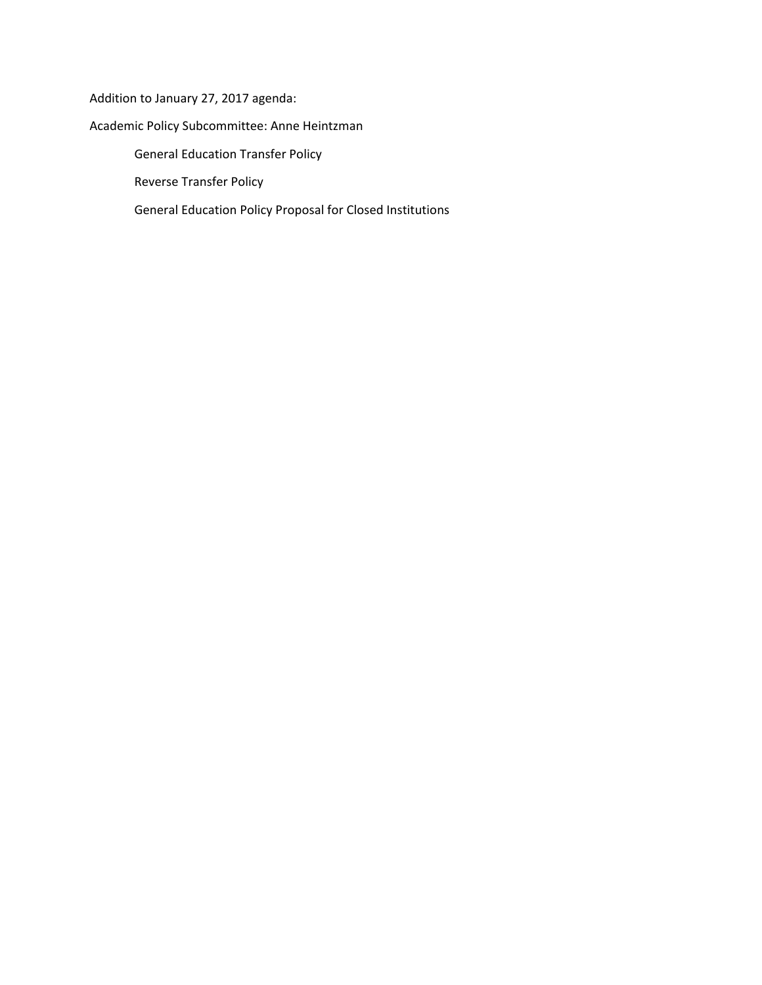Addition to January 27, 2017 agenda:

# Academic Policy Subcommittee: Anne Heintzman

General Education Transfer Policy

Reverse Transfer Policy

General Education Policy Proposal for Closed Institutions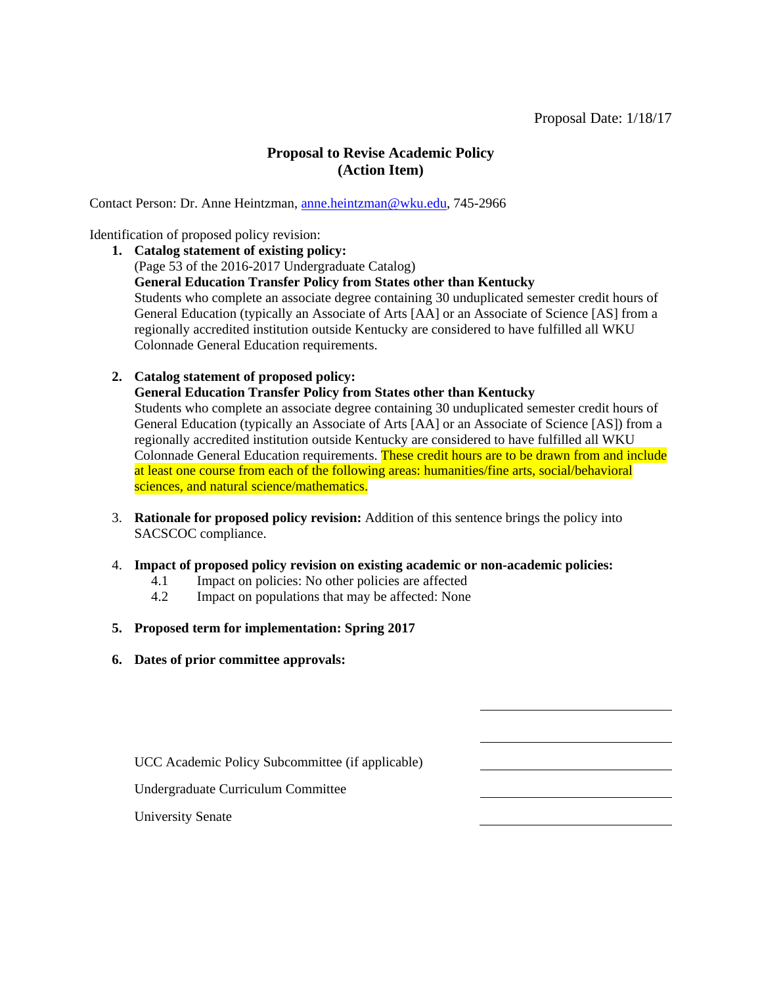## **Proposal to Revise Academic Policy (Action Item)**

Contact Person: Dr. Anne Heintzman, [anne.heintzman@wku.edu,](mailto:anne.heintzman@wku.edu) 745-2966

Identification of proposed policy revision:

- **1. Catalog statement of existing policy:** (Page 53 of the 2016-2017 Undergraduate Catalog) **General Education Transfer Policy from States other than Kentucky** Students who complete an associate degree containing 30 unduplicated semester credit hours of General Education (typically an Associate of Arts [AA] or an Associate of Science [AS] from a regionally accredited institution outside Kentucky are considered to have fulfilled all WKU Colonnade General Education requirements.
- **2. Catalog statement of proposed policy:**

**General Education Transfer Policy from States other than Kentucky** Students who complete an associate degree containing 30 unduplicated semester credit hours of General Education (typically an Associate of Arts [AA] or an Associate of Science [AS]) from a regionally accredited institution outside Kentucky are considered to have fulfilled all WKU Colonnade General Education requirements. These credit hours are to be drawn from and include at least one course from each of the following areas: humanities/fine arts, social/behavioral sciences, and natural science/mathematics.

- 3. **Rationale for proposed policy revision:** Addition of this sentence brings the policy into SACSCOC compliance.
- 4. **Impact of proposed policy revision on existing academic or non-academic policies:**
	- 4.1 Impact on policies: No other policies are affected 4.2 Impact on populations that may be affected: None
	- Impact on populations that may be affected: None
- **5. Proposed term for implementation: Spring 2017**
- **6. Dates of prior committee approvals:**

UCC Academic Policy Subcommittee (if applicable)

Undergraduate Curriculum Committee

University Senate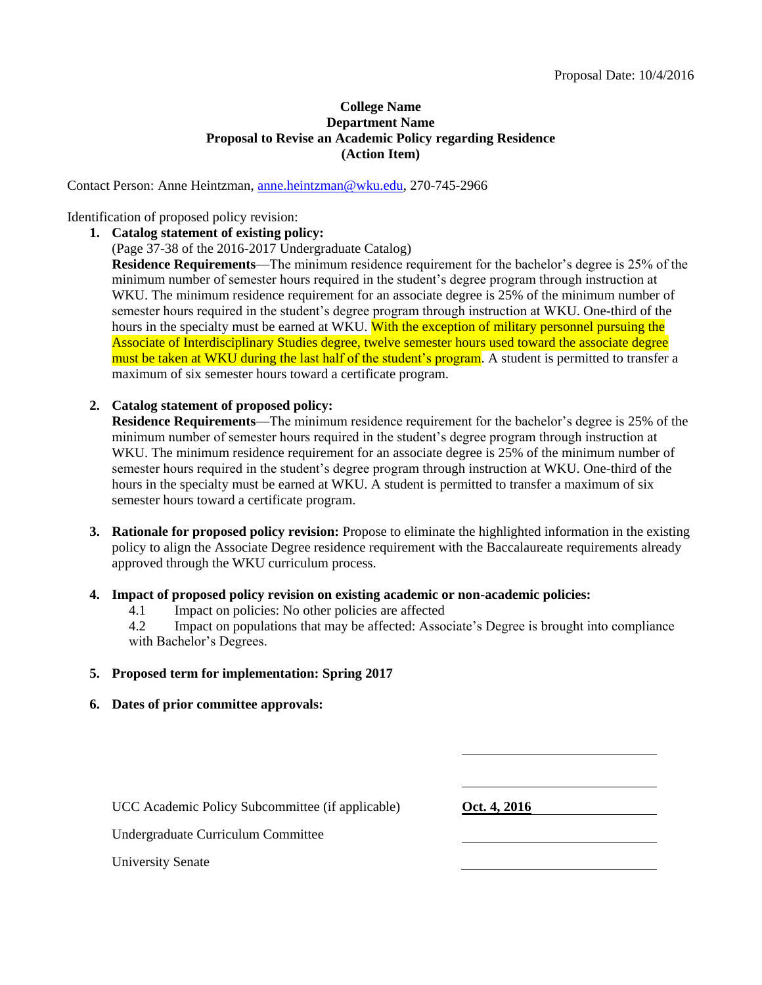### **College Name Department Name Proposal to Revise an Academic Policy regarding Residence (Action Item)**

Contact Person: Anne Heintzman, [anne.heintzman@wku.edu,](mailto:anne.heintzman@wku.edu) 270-745-2966

#### Identification of proposed policy revision:

**1. Catalog statement of existing policy:**

(Page 37-38 of the 2016-2017 Undergraduate Catalog)

**Residence Requirements**—The minimum residence requirement for the bachelor's degree is 25% of the minimum number of semester hours required in the student's degree program through instruction at WKU. The minimum residence requirement for an associate degree is 25% of the minimum number of semester hours required in the student's degree program through instruction at WKU. One-third of the hours in the specialty must be earned at WKU. With the exception of military personnel pursuing the Associate of Interdisciplinary Studies degree, twelve semester hours used toward the associate degree must be taken at WKU during the last half of the student's program. A student is permitted to transfer a maximum of six semester hours toward a certificate program.

#### **2. Catalog statement of proposed policy:**

**Residence Requirements**—The minimum residence requirement for the bachelor's degree is 25% of the minimum number of semester hours required in the student's degree program through instruction at WKU. The minimum residence requirement for an associate degree is 25% of the minimum number of semester hours required in the student's degree program through instruction at WKU. One-third of the hours in the specialty must be earned at WKU. A student is permitted to transfer a maximum of six semester hours toward a certificate program.

**3. Rationale for proposed policy revision:** Propose to eliminate the highlighted information in the existing policy to align the Associate Degree residence requirement with the Baccalaureate requirements already approved through the WKU curriculum process.

#### **4. Impact of proposed policy revision on existing academic or non-academic policies:**

- 4.1 Impact on policies: No other policies are affected
- 4.2 Impact on populations that may be affected: Associate's Degree is brought into compliance with Bachelor's Degrees.

### **5. Proposed term for implementation: Spring 2017**

**6. Dates of prior committee approvals:**

UCC Academic Policy Subcommittee (if applicable) **Oct. 4, 2016** 

Undergraduate Curriculum Committee

University Senate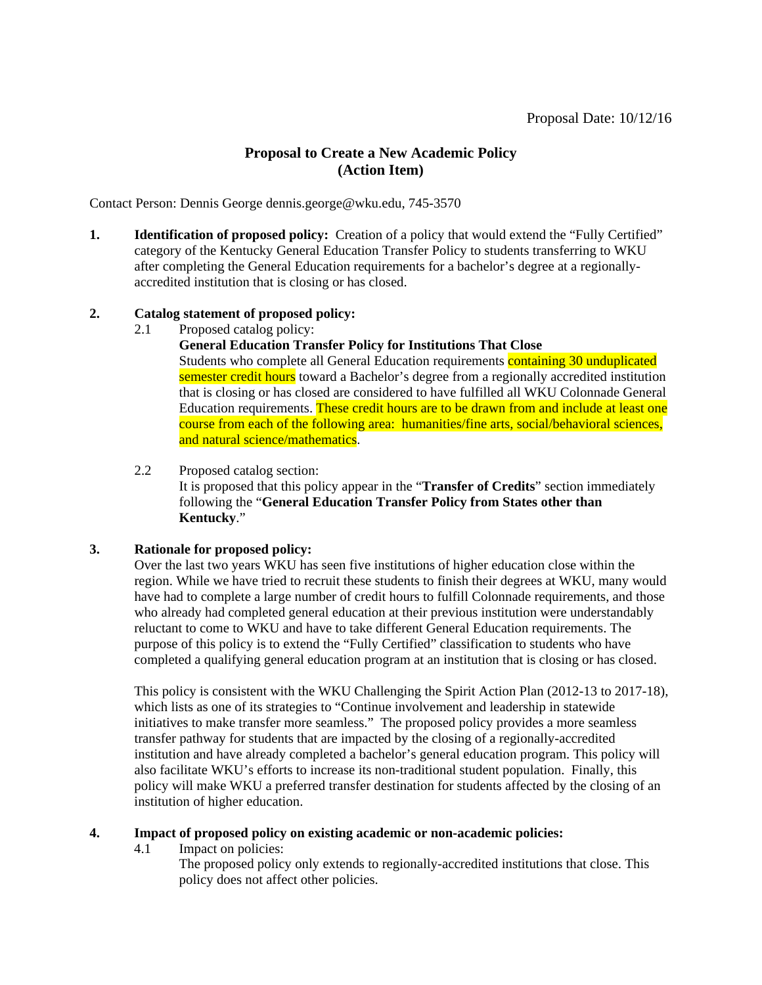# **Proposal to Create a New Academic Policy (Action Item)**

Contact Person: Dennis George dennis.george@wku.edu, 745-3570

**1. Identification of proposed policy:** Creation of a policy that would extend the "Fully Certified" category of the Kentucky General Education Transfer Policy to students transferring to WKU after completing the General Education requirements for a bachelor's degree at a regionallyaccredited institution that is closing or has closed.

### **2. Catalog statement of proposed policy:**

2.1 Proposed catalog policy:

**General Education Transfer Policy for Institutions That Close** Students who complete all General Education requirements containing 30 unduplicated semester credit hours toward a Bachelor's degree from a regionally accredited institution that is closing or has closed are considered to have fulfilled all WKU Colonnade General Education requirements. These credit hours are to be drawn from and include at least one course from each of the following area: humanities/fine arts, social/behavioral sciences, and natural science/mathematics.

2.2 Proposed catalog section: It is proposed that this policy appear in the "**Transfer of Credits**" section immediately following the "**General Education Transfer Policy from States other than Kentucky**."

### **3. Rationale for proposed policy:**

Over the last two years WKU has seen five institutions of higher education close within the region. While we have tried to recruit these students to finish their degrees at WKU, many would have had to complete a large number of credit hours to fulfill Colonnade requirements, and those who already had completed general education at their previous institution were understandably reluctant to come to WKU and have to take different General Education requirements. The purpose of this policy is to extend the "Fully Certified" classification to students who have completed a qualifying general education program at an institution that is closing or has closed.

This policy is consistent with the WKU Challenging the Spirit Action Plan (2012-13 to 2017-18), which lists as one of its strategies to "Continue involvement and leadership in statewide initiatives to make transfer more seamless." The proposed policy provides a more seamless transfer pathway for students that are impacted by the closing of a regionally-accredited institution and have already completed a bachelor's general education program. This policy will also facilitate WKU's efforts to increase its non-traditional student population. Finally, this policy will make WKU a preferred transfer destination for students affected by the closing of an institution of higher education.

### **4. Impact of proposed policy on existing academic or non-academic policies:**

4.1 Impact on policies:

The proposed policy only extends to regionally-accredited institutions that close. This policy does not affect other policies.